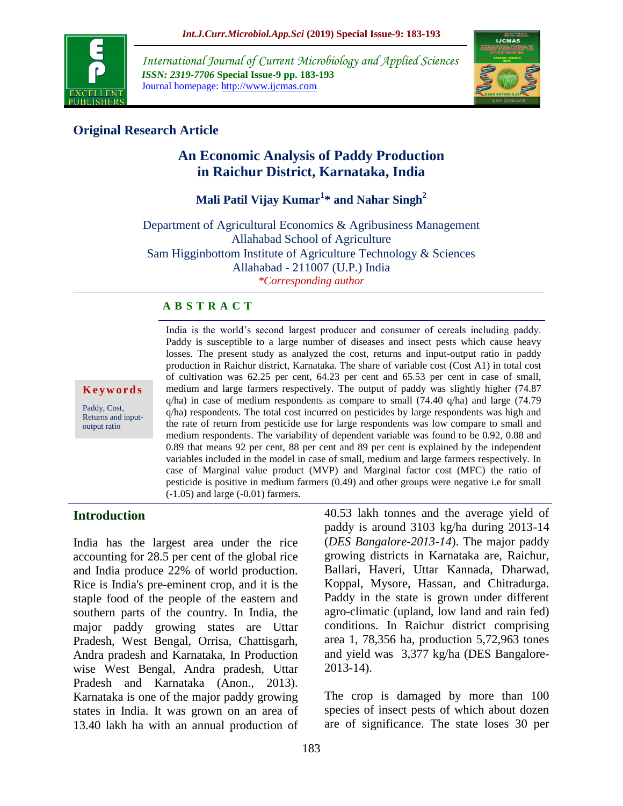

*International Journal of Current Microbiology and Applied Sciences ISSN: 2319-7706* **Special Issue-9 pp. 183-193** Journal homepage: http://www.ijcmas.com



# **Original Research Article**

# **An Economic Analysis of Paddy Production in Raichur District, Karnataka, India**

**Mali Patil Vijay Kumar<sup>1</sup> \* and Nahar Singh<sup>2</sup>**

Department of Agricultural Economics & Agribusiness Management Allahabad School of Agriculture Sam Higginbottom Institute of Agriculture Technology & Sciences Allahabad - 211007 (U.P.) India *\*Corresponding author*

#### **A B S T R A C T**

**K e y w o r d s**

Paddy, Cost, Returns and inputoutput ratio

India is the world's second largest producer and consumer of cereals including paddy. Paddy is susceptible to a large number of diseases and insect pests which cause heavy losses. The present study as analyzed the cost, returns and input-output ratio in paddy production in Raichur district, Karnataka. The share of variable cost (Cost A1) in total cost of cultivation was 62.25 per cent, 64.23 per cent and 65.53 per cent in case of small, medium and large farmers respectively. The output of paddy was slightly higher (74.87  $q/ha$ ) in case of medium respondents as compare to small (74.40  $q/ha$ ) and large (74.79 q/ha) respondents. The total cost incurred on pesticides by large respondents was high and the rate of return from pesticide use for large respondents was low compare to small and medium respondents. The variability of dependent variable was found to be 0.92, 0.88 and 0.89 that means 92 per cent, 88 per cent and 89 per cent is explained by the independent variables included in the model in case of small, medium and large farmers respectively. In case of Marginal value product (MVP) and Marginal factor cost (MFC) the ratio of pesticide is positive in medium farmers (0.49) and other groups were negative i.e for small (-1.05) and large (-0.01) farmers.

## **Introduction**

India has the largest area under the rice accounting for 28.5 per cent of the global rice and India produce 22% of world production. Rice is India's pre-eminent crop, and it is the staple food of the people of the eastern and southern parts of the country. In India, the major paddy growing states are Uttar Pradesh, West Bengal, Orrisa, Chattisgarh, Andra pradesh and Karnataka, In Production wise West Bengal, Andra pradesh, Uttar Pradesh and Karnataka (Anon., 2013). Karnataka is one of the major paddy growing states in India. It was grown on an area of 13.40 lakh ha with an annual production of

40.53 lakh tonnes and the average yield of paddy is around 3103 kg/ha during 2013-14 (*DES Bangalore-2013-14*). The major paddy growing districts in Karnataka are, Raichur, Ballari, Haveri, Uttar Kannada, Dharwad, Koppal, Mysore, Hassan, and Chitradurga. Paddy in the state is grown under different agro-climatic (upland, low land and rain fed) conditions. In Raichur district comprising area 1, 78,356 ha, production 5,72,963 tones and yield was 3,377 kg/ha (DES Bangalore-2013-14).

The crop is damaged by more than 100 species of insect pests of which about dozen are of significance. The state loses 30 per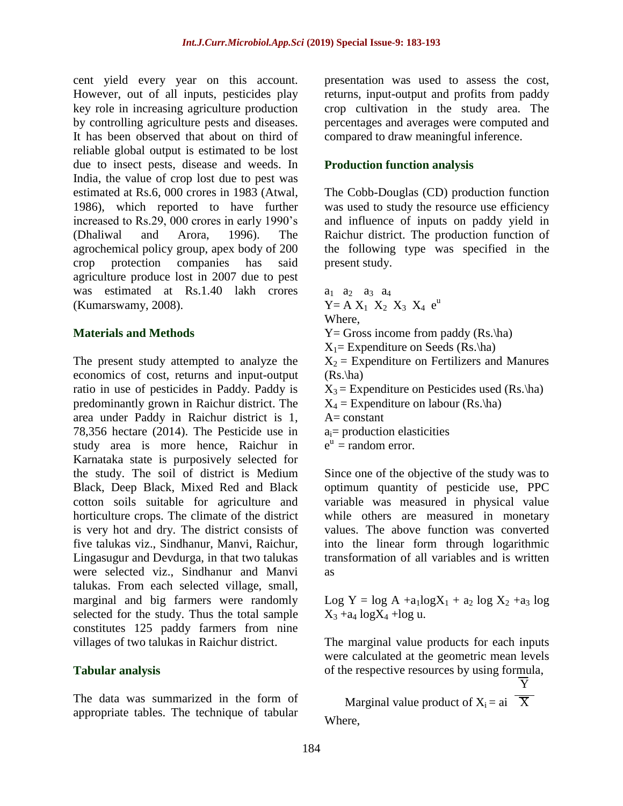cent yield every year on this account. However, out of all inputs, pesticides play key role in increasing agriculture production by controlling agriculture pests and diseases. It has been observed that about on third of reliable global output is estimated to be lost due to insect pests, disease and weeds. In India, the value of crop lost due to pest was estimated at Rs.6, 000 crores in 1983 (Atwal, 1986), which reported to have further increased to Rs.29, 000 crores in early 1990's (Dhaliwal and Arora, 1996). The agrochemical policy group, apex body of 200 crop protection companies has said agriculture produce lost in 2007 due to pest was estimated at Rs.1.40 lakh crores (Kumarswamy, 2008).

#### **Materials and Methods**

The present study attempted to analyze the economics of cost, returns and input-output ratio in use of pesticides in Paddy. Paddy is predominantly grown in Raichur district. The area under Paddy in Raichur district is 1, 78,356 hectare (2014). The Pesticide use in study area is more hence, Raichur in Karnataka state is purposively selected for the study. The soil of district is Medium Black, Deep Black, Mixed Red and Black cotton soils suitable for agriculture and horticulture crops. The climate of the district is very hot and dry. The district consists of five talukas viz., Sindhanur, Manvi, Raichur, Lingasugur and Devdurga, in that two talukas were selected viz., Sindhanur and Manvi talukas. From each selected village, small, marginal and big farmers were randomly selected for the study. Thus the total sample constitutes 125 paddy farmers from nine villages of two talukas in Raichur district.

#### **Tabular analysis**

The data was summarized in the form of appropriate tables. The technique of tabular

presentation was used to assess the cost, returns, input-output and profits from paddy crop cultivation in the study area. The percentages and averages were computed and compared to draw meaningful inference.

#### **Production function analysis**

The Cobb-Douglas (CD) production function was used to study the resource use efficiency and influence of inputs on paddy yield in Raichur district. The production function of the following type was specified in the present study.

 $a_1$   $a_2$   $a_3$   $a_4$  $Y = A X_1 X_2 X_3 X_4 e^{u}$ Where,  $Y = Gross$  income from paddy  $(Rs.\hbar)$  $X_1$ = Expenditure on Seeds (Rs.\ha)  $X_2$  = Expenditure on Fertilizers and Manures  $(Rs.\hbox{ha})$  $X_3$  = Expenditure on Pesticides used (Rs.\ha)  $X_4$  = Expenditure on labour (Rs.\ha)  $A= constant$  $a_i$ = production elasticities  $e^u$  = random error.

Since one of the objective of the study was to optimum quantity of pesticide use, PPC variable was measured in physical value while others are measured in monetary values. The above function was converted into the linear form through logarithmic transformation of all variables and is written as

Log Y =  $\log A$  +a<sub>1</sub> $\log X_1$  + a<sub>2</sub>  $\log X_2$  +a<sub>3</sub>  $\log$  $X_3 + a_4 \log X_4 + \log u$ .

The marginal value products for each inputs were calculated at the geometric mean levels of the respective resources by using formula,

 $\overline{\text{Y}}$ 

Marginal value product of  $X_i = ai \quad \overline{X}$ Where,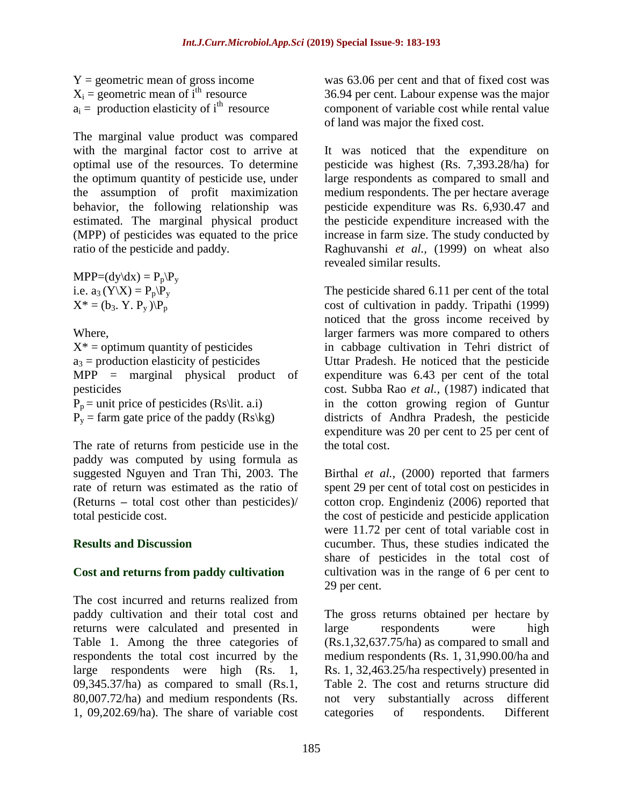$Y =$  geometric mean of gross income  $X_i$  = geometric mean of i<sup>th</sup> resource  $a_i$  = production elasticity of i<sup>th</sup> resource

The marginal value product was compared with the marginal factor cost to arrive at optimal use of the resources. To determine the optimum quantity of pesticide use, under the assumption of profit maximization behavior, the following relationship was estimated. The marginal physical product (MPP) of pesticides was equated to the price ratio of the pesticide and paddy.

 $MPP=(dy\ddot{dx}) = P_p\ddot{P}_v$ i.e.  $a_3 (Y|X) = P_p \overline{P_y}$  $X^* = (b_3, Y, P_v) \backslash P_p$ 

Where,  $X^*$  = optimum quantity of pesticides  $a_3$  = production elasticity of pesticides MPP = marginal physical product of pesticides  $P_p$  = unit price of pesticides (Rs\lit. a.i)  $P_y$  = farm gate price of the paddy (Rs\kg)

The rate of returns from pesticide use in the paddy was computed by using formula as suggested Nguyen and Tran Thi, 2003. The rate of return was estimated as the ratio of (Returns **–** total cost other than pesticides)/ total pesticide cost.

## **Results and Discussion**

## **Cost and returns from paddy cultivation**

The cost incurred and returns realized from paddy cultivation and their total cost and returns were calculated and presented in Table 1. Among the three categories of respondents the total cost incurred by the large respondents were high (Rs. 1, 09,345.37/ha) as compared to small (Rs.1, 80,007.72/ha) and medium respondents (Rs. 1, 09,202.69/ha). The share of variable cost was 63.06 per cent and that of fixed cost was 36.94 per cent. Labour expense was the major component of variable cost while rental value of land was major the fixed cost.

It was noticed that the expenditure on pesticide was highest (Rs. 7,393.28/ha) for large respondents as compared to small and medium respondents. The per hectare average pesticide expenditure was Rs. 6,930.47 and the pesticide expenditure increased with the increase in farm size. The study conducted by Raghuvanshi *et al.,* (1999) on wheat also revealed similar results.

The pesticide shared 6.11 per cent of the total cost of cultivation in paddy. Tripathi (1999) noticed that the gross income received by larger farmers was more compared to others in cabbage cultivation in Tehri district of Uttar Pradesh. He noticed that the pesticide expenditure was 6.43 per cent of the total cost. Subba Rao *et al.,* (1987) indicated that in the cotton growing region of Guntur districts of Andhra Pradesh, the pesticide expenditure was 20 per cent to 25 per cent of the total cost.

Birthal *et al.,* (2000) reported that farmers spent 29 per cent of total cost on pesticides in cotton crop. Engindeniz (2006) reported that the cost of pesticide and pesticide application were 11.72 per cent of total variable cost in cucumber. Thus, these studies indicated the share of pesticides in the total cost of cultivation was in the range of 6 per cent to 29 per cent.

The gross returns obtained per hectare by large respondents were high (Rs.1,32,637.75/ha) as compared to small and medium respondents (Rs. 1, 31,990.00/ha and Rs. 1, 32,463.25/ha respectively) presented in Table 2. The cost and returns structure did not very substantially across different categories of respondents. Different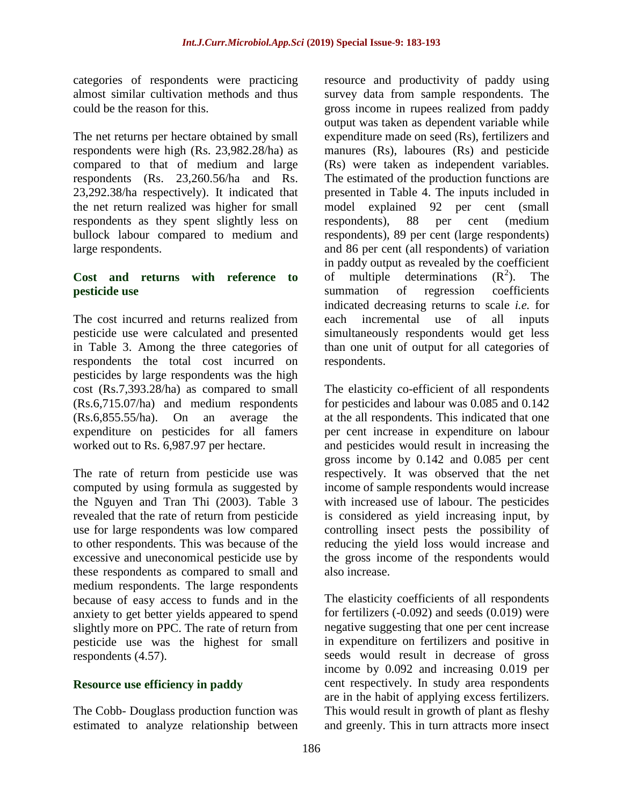categories of respondents were practicing almost similar cultivation methods and thus could be the reason for this.

The net returns per hectare obtained by small respondents were high (Rs. 23,982.28/ha) as compared to that of medium and large respondents (Rs. 23,260.56/ha and Rs. 23,292.38/ha respectively). It indicated that the net return realized was higher for small respondents as they spent slightly less on bullock labour compared to medium and large respondents.

#### **Cost and returns with reference to pesticide use**

The cost incurred and returns realized from pesticide use were calculated and presented in Table 3. Among the three categories of respondents the total cost incurred on pesticides by large respondents was the high cost (Rs.7,393.28/ha) as compared to small (Rs.6,715.07/ha) and medium respondents (Rs.6,855.55/ha). On an average the expenditure on pesticides for all famers worked out to Rs. 6,987.97 per hectare.

The rate of return from pesticide use was computed by using formula as suggested by the Nguyen and Tran Thi (2003). Table 3 revealed that the rate of return from pesticide use for large respondents was low compared to other respondents. This was because of the excessive and uneconomical pesticide use by these respondents as compared to small and medium respondents. The large respondents because of easy access to funds and in the anxiety to get better yields appeared to spend slightly more on PPC. The rate of return from pesticide use was the highest for small respondents (4.57).

## **Resource use efficiency in paddy**

The Cobb- Douglass production function was estimated to analyze relationship between

resource and productivity of paddy using survey data from sample respondents. The gross income in rupees realized from paddy output was taken as dependent variable while expenditure made on seed (Rs), fertilizers and manures (Rs), laboures (Rs) and pesticide (Rs) were taken as independent variables. The estimated of the production functions are presented in Table 4. The inputs included in model explained 92 per cent (small respondents), 88 per cent (medium respondents), 89 per cent (large respondents) and 86 per cent (all respondents) of variation in paddy output as revealed by the coefficient of multiple determinations  $(R^2)$ . The summation of regression coefficients indicated decreasing returns to scale *i.e.* for each incremental use of all inputs simultaneously respondents would get less than one unit of output for all categories of respondents.

The elasticity co-efficient of all respondents for pesticides and labour was 0.085 and 0.142 at the all respondents. This indicated that one per cent increase in expenditure on labour and pesticides would result in increasing the gross income by 0.142 and 0.085 per cent respectively. It was observed that the net income of sample respondents would increase with increased use of labour. The pesticides is considered as yield increasing input, by controlling insect pests the possibility of reducing the yield loss would increase and the gross income of the respondents would also increase.

The elasticity coefficients of all respondents for fertilizers (-0.092) and seeds (0.019) were negative suggesting that one per cent increase in expenditure on fertilizers and positive in seeds would result in decrease of gross income by 0.092 and increasing 0.019 per cent respectively. In study area respondents are in the habit of applying excess fertilizers. This would result in growth of plant as fleshy and greenly. This in turn attracts more insect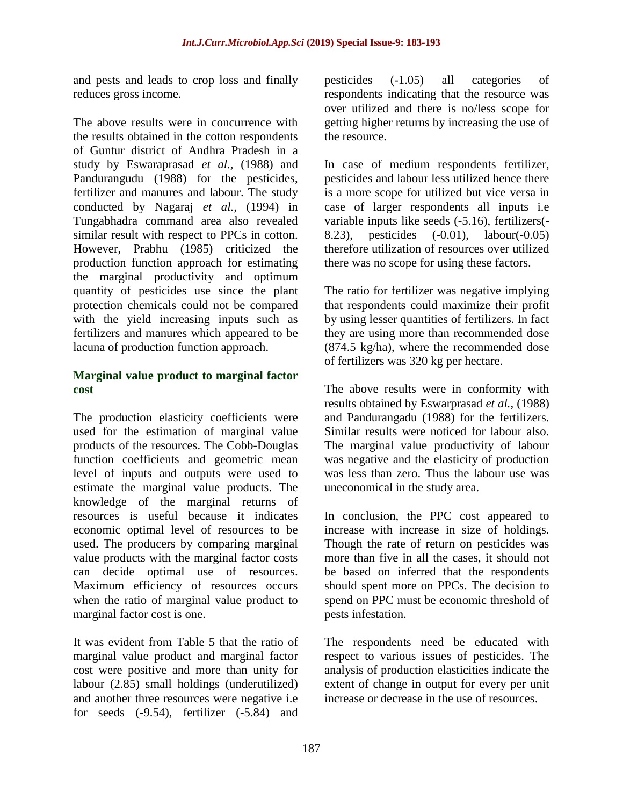and pests and leads to crop loss and finally reduces gross income.

The above results were in concurrence with the results obtained in the cotton respondents of Guntur district of Andhra Pradesh in a study by Eswaraprasad *et al.,* (1988) and Pandurangudu (1988) for the pesticides, fertilizer and manures and labour. The study conducted by Nagaraj *et al.,* (1994) in Tungabhadra command area also revealed similar result with respect to PPCs in cotton. However, Prabhu (1985) criticized the production function approach for estimating the marginal productivity and optimum quantity of pesticides use since the plant protection chemicals could not be compared with the yield increasing inputs such as fertilizers and manures which appeared to be lacuna of production function approach.

## **Marginal value product to marginal factor cost**

The production elasticity coefficients were used for the estimation of marginal value products of the resources. The Cobb-Douglas function coefficients and geometric mean level of inputs and outputs were used to estimate the marginal value products. The knowledge of the marginal returns of resources is useful because it indicates economic optimal level of resources to be used. The producers by comparing marginal value products with the marginal factor costs can decide optimal use of resources. Maximum efficiency of resources occurs when the ratio of marginal value product to marginal factor cost is one.

It was evident from Table 5 that the ratio of marginal value product and marginal factor cost were positive and more than unity for labour (2.85) small holdings (underutilized) and another three resources were negative i.e for seeds (-9.54), fertilizer (-5.84) and

pesticides (-1.05) all categories of respondents indicating that the resource was over utilized and there is no/less scope for getting higher returns by increasing the use of the resource.

In case of medium respondents fertilizer, pesticides and labour less utilized hence there is a more scope for utilized but vice versa in case of larger respondents all inputs i.e variable inputs like seeds (-5.16), fertilizers(- 8.23), pesticides (-0.01), labour(-0.05) therefore utilization of resources over utilized there was no scope for using these factors.

The ratio for fertilizer was negative implying that respondents could maximize their profit by using lesser quantities of fertilizers. In fact they are using more than recommended dose (874.5 kg/ha), where the recommended dose of fertilizers was 320 kg per hectare.

The above results were in conformity with results obtained by Eswarprasad *et al.,* (1988) and Pandurangadu (1988) for the fertilizers. Similar results were noticed for labour also. The marginal value productivity of labour was negative and the elasticity of production was less than zero. Thus the labour use was uneconomical in the study area.

In conclusion, the PPC cost appeared to increase with increase in size of holdings. Though the rate of return on pesticides was more than five in all the cases, it should not be based on inferred that the respondents should spent more on PPCs. The decision to spend on PPC must be economic threshold of pests infestation.

The respondents need be educated with respect to various issues of pesticides. The analysis of production elasticities indicate the extent of change in output for every per unit increase or decrease in the use of resources.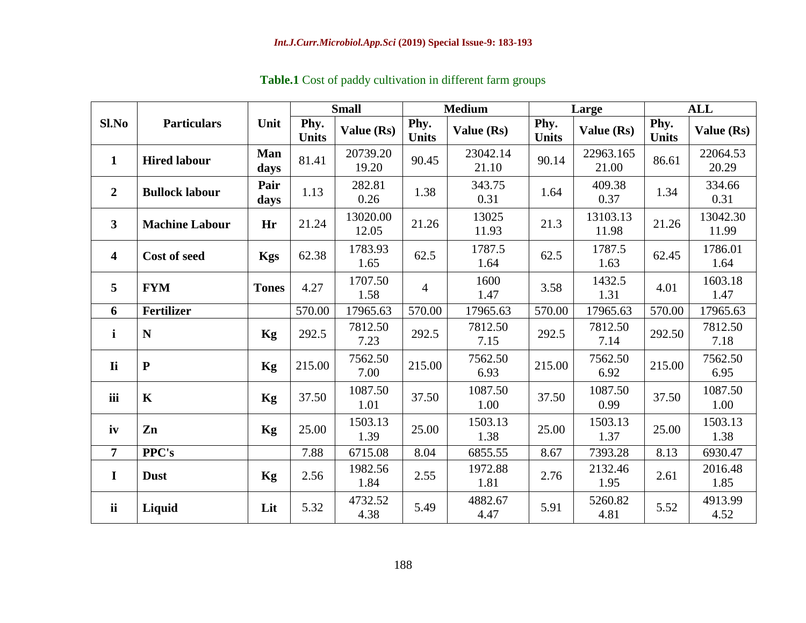|                         |                       | <b>Small</b><br><b>Medium</b> |                      |                   |                      | Large             | <b>ALL</b>           |                    |                      |                   |
|-------------------------|-----------------------|-------------------------------|----------------------|-------------------|----------------------|-------------------|----------------------|--------------------|----------------------|-------------------|
| Sl.No                   | <b>Particulars</b>    | Unit                          | Phy.<br><b>Units</b> | Value (Rs)        | Phy.<br><b>Units</b> | Value (Rs)        | Phy.<br><b>Units</b> | Value (Rs)         | Phy.<br><b>Units</b> | Value (Rs)        |
| $\mathbf{1}$            | <b>Hired labour</b>   | Man<br>days                   | 81.41                | 20739.20<br>19.20 | 90.45                | 23042.14<br>21.10 | 90.14                | 22963.165<br>21.00 | 86.61                | 22064.53<br>20.29 |
| $\overline{2}$          | <b>Bullock labour</b> | Pair<br>days                  | 1.13                 | 282.81<br>0.26    | 1.38                 | 343.75<br>0.31    | 1.64                 | 409.38<br>0.37     | 1.34                 | 334.66<br>0.31    |
| $\mathbf{3}$            | <b>Machine Labour</b> | Hr                            | 21.24                | 13020.00<br>12.05 | 21.26                | 13025<br>11.93    | 21.3                 | 13103.13<br>11.98  | 21.26                | 13042.30<br>11.99 |
| $\overline{\mathbf{4}}$ | <b>Cost of seed</b>   | <b>Kgs</b>                    | 62.38                | 1783.93<br>1.65   | 62.5                 | 1787.5<br>1.64    | 62.5                 | 1787.5<br>1.63     | 62.45                | 1786.01<br>1.64   |
| 5                       | <b>FYM</b>            | <b>Tones</b>                  | 4.27                 | 1707.50<br>1.58   | 4                    | 1600<br>1.47      | 3.58                 | 1432.5<br>1.31     | 4.01                 | 1603.18<br>1.47   |
| 6                       | <b>Fertilizer</b>     |                               | 570.00               | 17965.63          | 570.00               | 17965.63          | 570.00               | 17965.63           | 570.00               | 17965.63          |
| $\mathbf{i}$            | N                     | <b>Kg</b>                     | 292.5                | 7812.50<br>7.23   | 292.5                | 7812.50<br>7.15   | 292.5                | 7812.50<br>7.14    | 292.50               | 7812.50<br>7.18   |
| <b>Ii</b>               | ${\bf P}$             | Kg                            | 215.00               | 7562.50<br>7.00   | 215.00               | 7562.50<br>6.93   | 215.00               | 7562.50<br>6.92    | 215.00               | 7562.50<br>6.95   |
| iii                     | $\mathbf K$           | <b>Kg</b>                     | 37.50                | 1087.50<br>1.01   | 37.50                | 1087.50<br>1.00   | 37.50                | 1087.50<br>0.99    | 37.50                | 1087.50<br>1.00   |
| iv                      | Zn                    | Kg                            | 25.00                | 1503.13<br>1.39   | 25.00                | 1503.13<br>1.38   | 25.00                | 1503.13<br>1.37    | 25.00                | 1503.13<br>1.38   |
| $\overline{7}$          | <b>PPC's</b>          |                               | 7.88                 | 6715.08           | 8.04                 | 6855.55           | 8.67                 | 7393.28            | 8.13                 | 6930.47           |
| $\mathbf I$             | <b>Dust</b>           | Kg                            | 2.56                 | 1982.56<br>1.84   | 2.55                 | 1972.88<br>1.81   | 2.76                 | 2132.46<br>1.95    | 2.61                 | 2016.48<br>1.85   |
| <b>ii</b>               | Liquid                | Lit                           | 5.32                 | 4732.52<br>4.38   | 5.49                 | 4882.67<br>4.47   | 5.91                 | 5260.82<br>4.81    | 5.52                 | 4913.99<br>4.52   |

**Table.1** Cost of paddy cultivation in different farm groups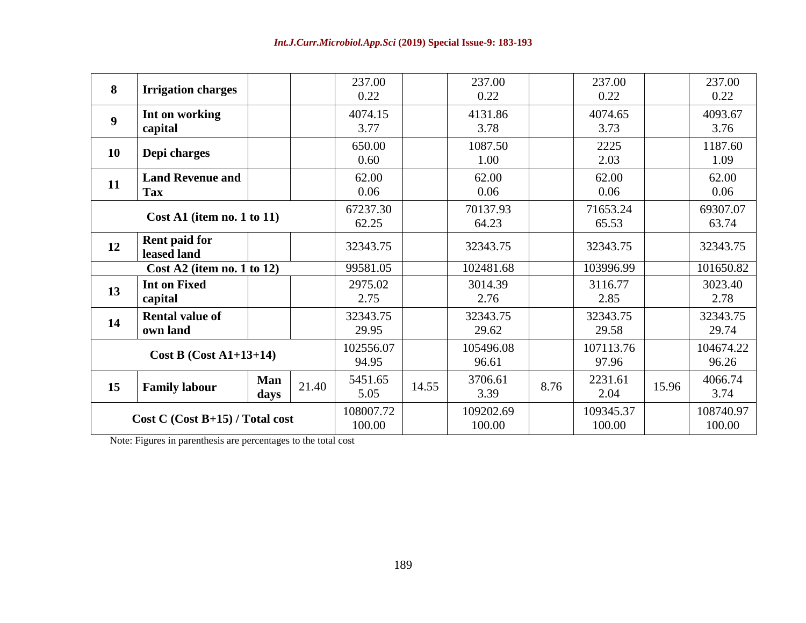| 8                                 | <b>Irrigation charges</b>             |                    |                     | 237.00<br>0.22     |                     | 237.00<br>0.22     |                     | 237.00<br>0.22     |                     | 237.00<br>0.22    |
|-----------------------------------|---------------------------------------|--------------------|---------------------|--------------------|---------------------|--------------------|---------------------|--------------------|---------------------|-------------------|
| $\boldsymbol{9}$                  | Int on working<br>capital             |                    |                     | 4074.15<br>3.77    |                     | 4131.86<br>3.78    |                     | 4074.65<br>3.73    |                     | 4093.67<br>3.76   |
| <b>10</b>                         | Depi charges                          |                    |                     | 650.00<br>0.60     |                     | 1087.50<br>1.00    |                     | 2225<br>2.03       |                     | 1187.60<br>1.09   |
| 11                                | <b>Land Revenue and</b><br><b>Tax</b> |                    |                     | 62.00<br>0.06      |                     | 62.00<br>0.06      |                     | 62.00<br>0.06      |                     | 62.00<br>0.06     |
|                                   | $Cost A1$ (item no. 1 to 11)          |                    |                     | 67237.30<br>62.25  |                     | 70137.93<br>64.23  |                     | 71653.24<br>65.53  |                     | 69307.07<br>63.74 |
| 12                                | Rent paid for<br>leased land          |                    |                     | 32343.75           |                     | 32343.75           |                     | 32343.75           |                     | 32343.75          |
| Cost A2 (item no. 1 to $12$ )     |                                       | 99581.05           |                     | 102481.68          |                     | 103996.99          |                     | 101650.82          |                     |                   |
| 13                                | <b>Int on Fixed</b><br>capital        |                    |                     | 2975.02<br>2.75    |                     | 3014.39<br>2.76    |                     | 3116.77<br>2.85    |                     | 3023.40<br>2.78   |
| 14                                | <b>Rental value of</b><br>own land    |                    |                     | 32343.75<br>29.95  |                     | 32343.75<br>29.62  |                     | 32343.75<br>29.58  |                     | 32343.75<br>29.74 |
| Cost B $(Cost A1+13+14)$          |                                       | 102556.07<br>94.95 |                     | 105496.08<br>96.61 |                     | 107113.76<br>97.96 |                     | 104674.22<br>96.26 |                     |                   |
| 15                                | <b>Family labour</b>                  | <b>Man</b><br>days | 21.40               | 5451.65<br>5.05    | 14.55               | 3706.61<br>3.39    | 8.76                | 2231.61<br>2.04    | 15.96               | 4066.74<br>3.74   |
| $Cost C (Cost B+15) / Total cost$ |                                       |                    | 108007.72<br>100.00 |                    | 109202.69<br>100.00 |                    | 109345.37<br>100.00 |                    | 108740.97<br>100.00 |                   |

Note: Figures in parenthesis are percentages to the total cost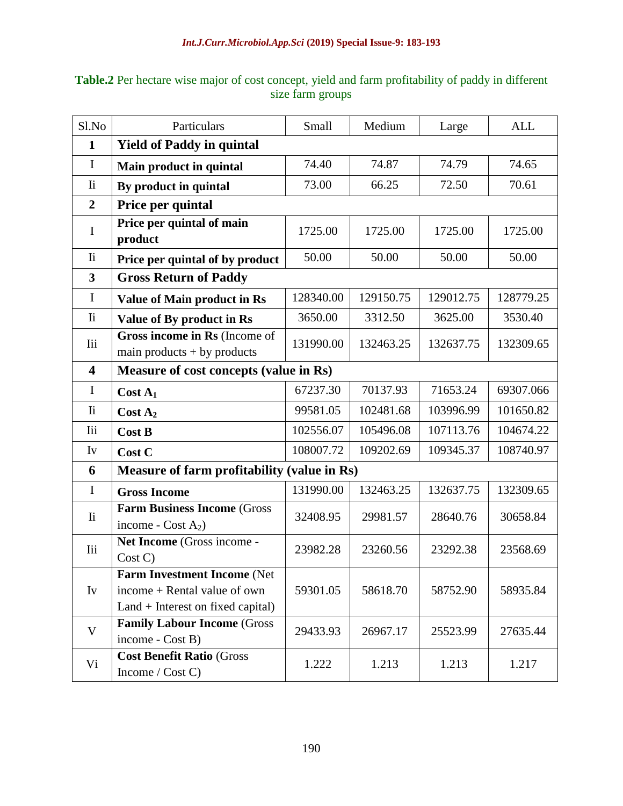| Sl.No                   | Particulars                                                         | Small     | Medium    | Large     | <b>ALL</b> |  |  |  |  |
|-------------------------|---------------------------------------------------------------------|-----------|-----------|-----------|------------|--|--|--|--|
| $\mathbf{1}$            | <b>Yield of Paddy in quintal</b>                                    |           |           |           |            |  |  |  |  |
| $\mathbf I$             | Main product in quintal                                             | 74.40     | 74.87     | 74.79     | 74.65      |  |  |  |  |
| <b>Ii</b>               | By product in quintal                                               | 73.00     | 66.25     | 72.50     | 70.61      |  |  |  |  |
| $\overline{2}$          | Price per quintal                                                   |           |           |           |            |  |  |  |  |
| $\mathbf I$             | Price per quintal of main<br>product                                | 1725.00   | 1725.00   | 1725.00   | 1725.00    |  |  |  |  |
| $\overline{\mathbf{h}}$ | Price per quintal of by product                                     | 50.00     | 50.00     | 50.00     | 50.00      |  |  |  |  |
| $\overline{\mathbf{3}}$ | <b>Gross Return of Paddy</b>                                        |           |           |           |            |  |  |  |  |
| $\mathbf I$             | <b>Value of Main product in Rs</b>                                  | 128340.00 | 129150.75 | 129012.75 | 128779.25  |  |  |  |  |
| $\mathbf{I}$ i          | Value of By product in Rs                                           | 3650.00   | 3312.50   | 3625.00   | 3530.40    |  |  |  |  |
| <b>Iii</b>              | Gross income in Rs (Income of<br>main products $+$ by products      | 131990.00 | 132463.25 | 132637.75 | 132309.65  |  |  |  |  |
| $\overline{\mathbf{4}}$ | Measure of cost concepts (value in Rs)                              |           |           |           |            |  |  |  |  |
| $\mathbf I$             | $Cost A_1$                                                          | 67237.30  | 70137.93  | 71653.24  | 69307.066  |  |  |  |  |
| $\overline{\mathbf{h}}$ | Cost A <sub>2</sub>                                                 | 99581.05  | 102481.68 | 103996.99 | 101650.82  |  |  |  |  |
| <b>Iii</b>              | <b>Cost B</b>                                                       | 102556.07 | 105496.08 | 107113.76 | 104674.22  |  |  |  |  |
| Iv                      | Cost C                                                              | 108007.72 | 109202.69 | 109345.37 | 108740.97  |  |  |  |  |
| 6                       | Measure of farm profitability (value in Rs)                         |           |           |           |            |  |  |  |  |
| $\mathbf I$             | <b>Gross Income</b>                                                 | 131990.00 | 132463.25 | 132637.75 | 132309.65  |  |  |  |  |
| $\overline{\mathbf{h}}$ | <b>Farm Business Income (Gross)</b><br>income - $Cost A2$ )         | 32408.95  | 29981.57  | 28640.76  | 30658.84   |  |  |  |  |
| <b>Iii</b>              | Net Income (Gross income -<br>Cost C                                | 23982.28  | 23260.56  | 23292.38  | 23568.69   |  |  |  |  |
|                         | Farm Investment Income (Net                                         |           |           |           |            |  |  |  |  |
| Iv                      | income + Rental value of own<br>$Land + Interest on fixed capital)$ | 59301.05  | 58618.70  | 58752.90  | 58935.84   |  |  |  |  |
| V                       | <b>Family Labour Income (Gross)</b><br>income - Cost B)             | 29433.93  | 26967.17  | 25523.99  | 27635.44   |  |  |  |  |
| Vi                      | <b>Cost Benefit Ratio (Gross)</b><br>Income / Cost C)               | 1.222     | 1.213     | 1.213     | 1.217      |  |  |  |  |

**Table.2** Per hectare wise major of cost concept, yield and farm profitability of paddy in different size farm groups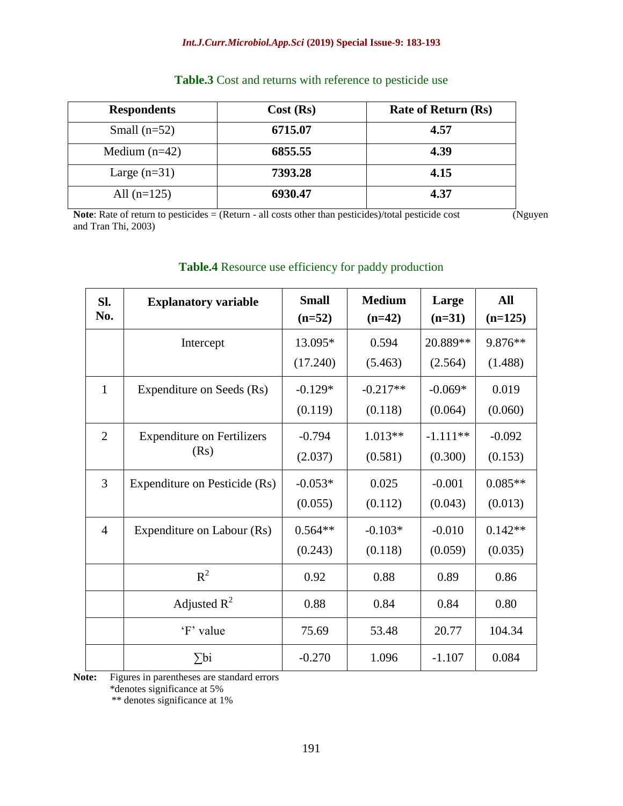#### *Int.J.Curr.Microbiol.App.Sci* **(2019) Special Issue-9: 183-193**

| <b>Respondents</b> | Cost (Rs) | <b>Rate of Return (Rs)</b> |  |  |
|--------------------|-----------|----------------------------|--|--|
| Small $(n=52)$     | 6715.07   | 4.57                       |  |  |
| Medium $(n=42)$    | 6855.55   | 4.39                       |  |  |
| Large $(n=31)$     | 7393.28   | 4.15                       |  |  |
| All $(n=125)$      | 6930.47   | 4.37                       |  |  |

# **Table.3** Cost and returns with reference to pesticide use

**Note**: Rate of return to pesticides = (Return - all costs other than pesticides)/total pesticide cost (Nguyen and Tran Thi, 2003)

| SI.<br>No.     | <b>Explanatory variable</b>       | <b>Small</b><br>$(n=52)$ | <b>Medium</b><br>$(n=42)$ | Large<br>$(n=31)$ | <b>All</b><br>$(n=125)$ |
|----------------|-----------------------------------|--------------------------|---------------------------|-------------------|-------------------------|
|                | Intercept                         | 13.095*                  | 0.594                     | 20.889**          | 9.876**                 |
|                |                                   | (17.240)                 | (5.463)                   | (2.564)           | (1.488)                 |
| $\mathbf{1}$   | Expenditure on Seeds (Rs)         | $-0.129*$                | $-0.217**$                | $-0.069*$         | 0.019                   |
|                |                                   | (0.119)                  | (0.118)                   | (0.064)           | (0.060)                 |
| $\overline{2}$ | <b>Expenditure on Fertilizers</b> | $-0.794$                 | $1.013**$                 | $-1.111**$        | $-0.092$                |
|                | (Rs)                              | (2.037)                  | (0.581)                   | (0.300)           | (0.153)                 |
| $\overline{3}$ | Expenditure on Pesticide (Rs)     | $-0.053*$                | 0.025                     | $-0.001$          | $0.085**$               |
|                |                                   | (0.055)                  | (0.112)                   | (0.043)           | (0.013)                 |
| $\overline{4}$ | Expenditure on Labour (Rs)        | $0.564**$                | $-0.103*$                 | $-0.010$          | $0.142**$               |
|                |                                   | (0.243)                  | (0.118)                   | (0.059)           | (0.035)                 |
|                | $R^2$                             | 0.92                     | 0.88                      | 0.89              | 0.86                    |
|                | Adjusted $R^2$                    | 0.88                     | 0.84                      | 0.84              | 0.80                    |
|                | 'F' value                         | 75.69                    | 53.48                     | 20.77             | 104.34                  |
|                | $\sum$ bi                         | $-0.270$                 | 1.096                     | $-1.107$          | 0.084                   |

# **Table.4** Resource use efficiency for paddy production

**Note:** Figures in parentheses are standard errors

\*denotes significance at 5%

\*\* denotes significance at 1%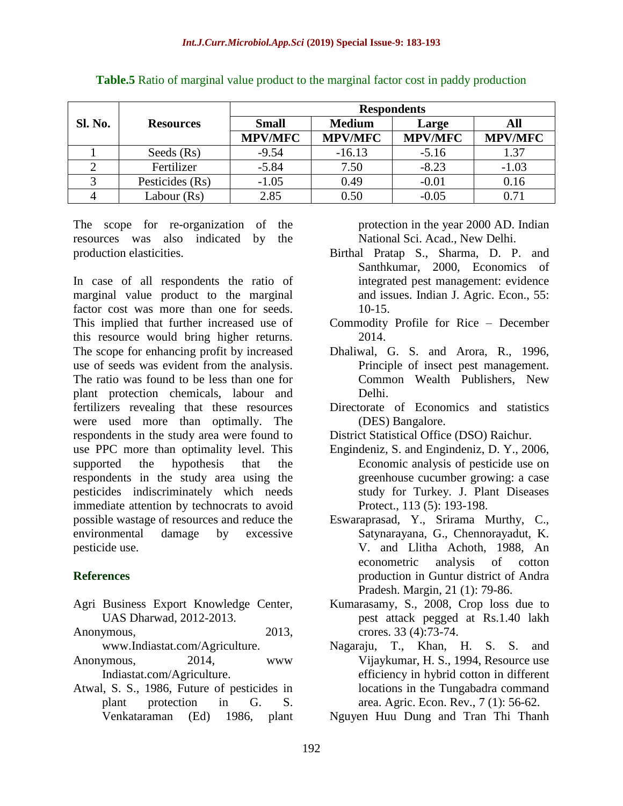|         |                  | <b>Respondents</b> |                |                |                |  |  |  |
|---------|------------------|--------------------|----------------|----------------|----------------|--|--|--|
| Sl. No. | <b>Resources</b> | <b>Small</b>       | <b>Medium</b>  | Large          | All            |  |  |  |
|         |                  | <b>MPV/MFC</b>     | <b>MPV/MFC</b> | <b>MPV/MFC</b> | <b>MPV/MFC</b> |  |  |  |
|         | Seeds (Rs)       | $-9.54$            | $-16.13$       | $-5.16$        | 1.37           |  |  |  |
|         | Fertilizer       | $-5.84$            | 7.50           | $-8.23$        | $-1.03$        |  |  |  |
|         | Pesticides (Rs)  | $-1.05$            | 0.49           | $-0.01$        | 0.16           |  |  |  |
|         | Labour (Rs)      | 2.85               | 0.50           | $-0.05$        | 0.71           |  |  |  |

**Table.5** Ratio of marginal value product to the marginal factor cost in paddy production

The scope for re-organization of the resources was also indicated by the production elasticities.

In case of all respondents the ratio of marginal value product to the marginal factor cost was more than one for seeds. This implied that further increased use of this resource would bring higher returns. The scope for enhancing profit by increased use of seeds was evident from the analysis. The ratio was found to be less than one for plant protection chemicals, labour and fertilizers revealing that these resources were used more than optimally. The respondents in the study area were found to use PPC more than optimality level. This supported the hypothesis that the respondents in the study area using the pesticides indiscriminately which needs immediate attention by technocrats to avoid possible wastage of resources and reduce the environmental damage by excessive pesticide use.

## **References**

- Agri Business Export Knowledge Center, UAS Dharwad, 2012-2013.
- Anonymous, 2013,
- www.Indiastat.com/Agriculture.
- Anonymous, 2014, www Indiastat.com/Agriculture.
- Atwal, S. S., 1986, Future of pesticides in plant protection in G. S. Venkataraman (Ed) 1986, plant

protection in the year 2000 AD. Indian National Sci. Acad., New Delhi.

- Birthal Pratap S., Sharma, D. P. and Santhkumar, 2000, Economics of integrated pest management: evidence and issues. Indian J. Agric. Econ., 55: 10-15.
- Commodity Profile for Rice December 2014.
- Dhaliwal, G. S. and Arora, R., 1996, Principle of insect pest management. Common Wealth Publishers, New Delhi.
- Directorate of Economics and statistics (DES) Bangalore.
- District Statistical Office (DSO) Raichur.
- Engindeniz, S. and Engindeniz, D. Y., 2006, Economic analysis of pesticide use on greenhouse cucumber growing: a case study for Turkey. J. Plant Diseases Protect., 113 (5): 193-198.
- Eswaraprasad, Y., Srirama Murthy, C., Satynarayana, G., Chennorayadut, K. V. and Llitha Achoth, 1988, An econometric analysis of cotton production in Guntur district of Andra Pradesh. Margin, 21 (1): 79-86.
- Kumarasamy, S., 2008, Crop loss due to pest attack pegged at Rs.1.40 lakh crores. 33 (4):73-74.
- Nagaraju, T., Khan, H. S. S. and Vijaykumar, H. S., 1994, Resource use efficiency in hybrid cotton in different locations in the Tungabadra command area. Agric. Econ. Rev., 7 (1): 56-62.
- Nguyen Huu Dung and Tran Thi Thanh